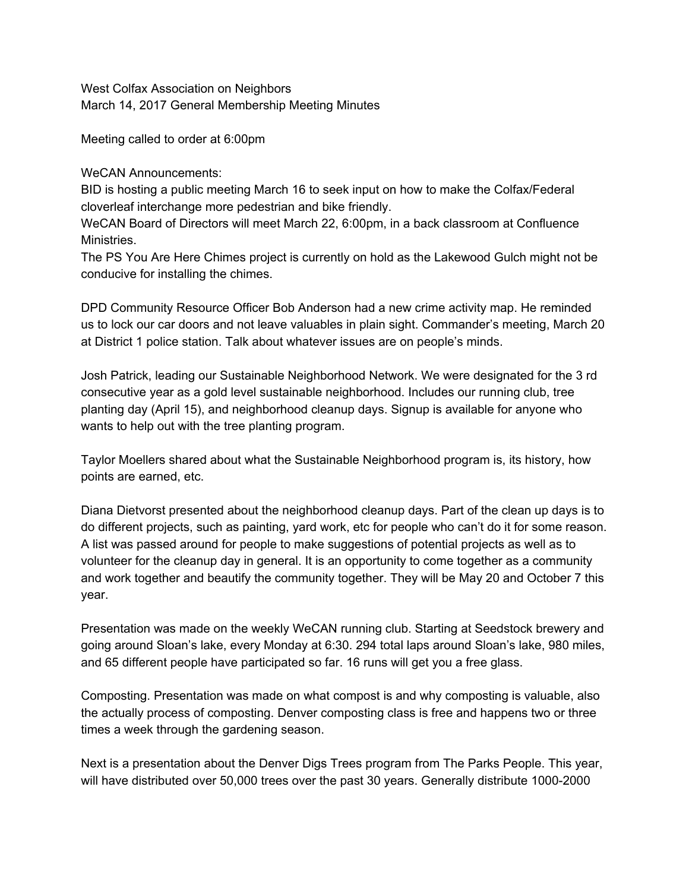West Colfax Association on Neighbors March 14, 2017 General Membership Meeting Minutes

Meeting called to order at 6:00pm

WeCAN Announcements:

BID is hosting a public meeting March 16 to seek input on how to make the Colfax/Federal cloverleaf interchange more pedestrian and bike friendly.

WeCAN Board of Directors will meet March 22, 6:00pm, in a back classroom at Confluence Ministries.

The PS You Are Here Chimes project is currently on hold as the Lakewood Gulch might not be conducive for installing the chimes.

DPD Community Resource Officer Bob Anderson had a new crime activity map. He reminded us to lock our car doors and not leave valuables in plain sight. Commander's meeting, March 20 at District 1 police station. Talk about whatever issues are on people's minds.

Josh Patrick, leading our Sustainable Neighborhood Network. We were designated for the 3 rd consecutive year as a gold level sustainable neighborhood. Includes our running club, tree planting day (April 15), and neighborhood cleanup days. Signup is available for anyone who wants to help out with the tree planting program.

Taylor Moellers shared about what the Sustainable Neighborhood program is, its history, how points are earned, etc.

Diana Dietvorst presented about the neighborhood cleanup days. Part of the clean up days is to do different projects, such as painting, yard work, etc for people who can't do it for some reason. A list was passed around for people to make suggestions of potential projects as well as to volunteer for the cleanup day in general. It is an opportunity to come together as a community and work together and beautify the community together. They will be May 20 and October 7 this year.

Presentation was made on the weekly WeCAN running club. Starting at Seedstock brewery and going around Sloan's lake, every Monday at 6:30. 294 total laps around Sloan's lake, 980 miles, and 65 different people have participated so far. 16 runs will get you a free glass.

Composting. Presentation was made on what compost is and why composting is valuable, also the actually process of composting. Denver composting class is free and happens two or three times a week through the gardening season.

Next is a presentation about the Denver Digs Trees program from The Parks People. This year, will have distributed over 50,000 trees over the past 30 years. Generally distribute 1000-2000